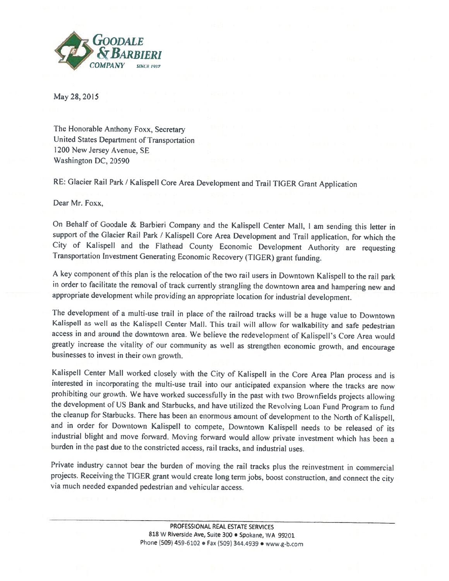

May 28, 2015

The Honorable Anthony Foxx, Secretary United States Department of Transportation 1200 New Jersey Avenue, SE Washington DC, 20590

RE: Glacier Rail Park / Kalispell Core Area Development and Trail TIGER Grant Application

Dear Mr. Foxx,

On Behalf of Goodale & Barbieri Company and the Kalispell Center Mall, <sup>I</sup> am sending this letter in support of the Glacier Rail Park / Kalispell Core Area Development and Trail application, for which the City of Kalispell and the Flathead County Economic Development Authority are requesting Transportation Investment Generating Economic Recovery (TIGER) grant funding.

A key component of this plan is the relocation of the two rail users in Downtown Kalispell to the rail park in order to facilitate the removal of track currently strangling the downtown area and hampering new and appropriate development while providing an appropriate location for industrial development.

The development of a multi-use trail in place of the railroad tracks will be a huge value to Downtown Kalispell as well as the Kalispell Center Mall. This trail will allow for walkability and safe pedestrian access in and around the downtown area. We believe the redevelopment of Kalispell's Core Area would greatly increase the vitality of our community as well as strengthen economic growth, and encourage businesses to invest in their own growth.

Kalispell Center Mall worked closely with the City of Kalispell in the Core Area Plan process and is interested in incorporating the multi-use trail into our anticipated expansion where the tracks are now prohibiting our growth. We have worked successfully in the past with two Brownfields projects allowing the development of US Bank and Starbucks, and have utilized the Revolving Loan Fund Program to fund the cleanup for Starbucks. There has been an enormous amount of development to the North of Kalispell, and in order for Downtown Kalispell to compete, Downtown Kalispell needs to he released of its industrial blight and move forward. Moving forward would allow private investment which has been <sup>a</sup> burden in the past due to the constricted access. rail tracks, and industrial uses.

Private industry cannot bear the burden of moving the rail tracks <sup>p</sup>lus the reinvestment in commercial projects. Receiving the TIGER grant would create long term jobs, boost construction, and connect the city via much needed expanded pedestrian and vehicular access.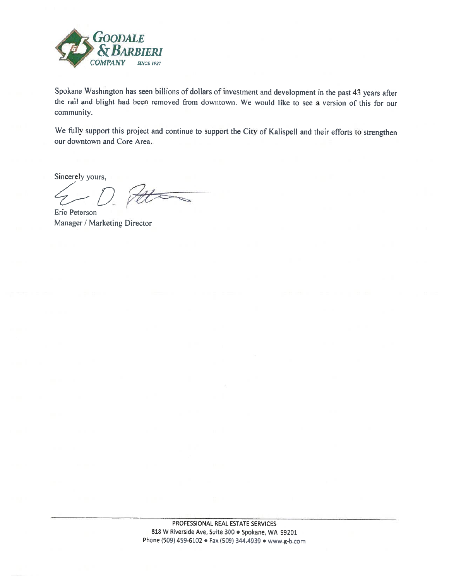

Spokane Washington has seen billions of dollars of investment and development in the past <sup>43</sup> years after the rail and blight had been removed from downtown. We would like to see a version of this for our community.

We fully support this project and continue to support the City of Kalispell and their efforts to strengthen our downtown and Core Area.

Sincerely yours,

D Pet

Eric Peterson Manager / Marketing Director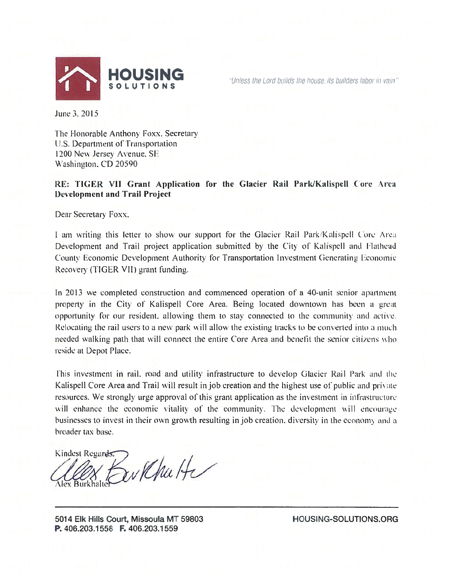

"Unless the Lord builds the house, its builders labor in vain"

June 3. 2015

The Honorable Anthony Foxx. Secretary U.S. Department of Transportation <sup>1</sup> 200 New Jersey Avenue. SE Washington, CD 20590

## RE: TIGER VII Grant Application for the Glacier Rail Park/Kalispell Core Area Development and Trail Project

Dear Secretary Foxx.

<sup>1</sup> am writing this letter to show our support for the Glacier Rail ParkKalispel <sup>I</sup> (ore Area Development and Trail project application submitted by the City of Kalispell and Flathead County Economic Development Authority for Transportation Investment Generating Economic Recovery (TIGER VII) grant funding.

In 2013 we completed construction and commenced operation of a 40—unit senior apartment property in the City of Kalispell Core Area. Being located downtown has been a great opportunity for our resident, allowing them to stay connected to the community and active. Relocating the rail users to a new park will allow the existing tracks to be converted into a much needed walking path that will connect the entire Core Area and henetit the senior citizens who reside at Depot Place.

This investment in rail, road and utility infrastructure to develop Glacier Rail Park and the Kalispell Core Area and Trail will result in job creation and the highest use of public and private resources. We strongly urge approval of this grant application as the investment in infrastructure will enhance the economic vitality of the community. The development will encourage businesses to invest in their own growth resulting in job creation, diversity in the economy and a broader tax base.

Kindest Regards. Barkhutte **Nex Burkhalte** 

5014 Elk Hills Court, Missouta MT 59803 HOUSINC-SOLUTIONS.ORG P. 406.203,1558 F. 406.203.1559